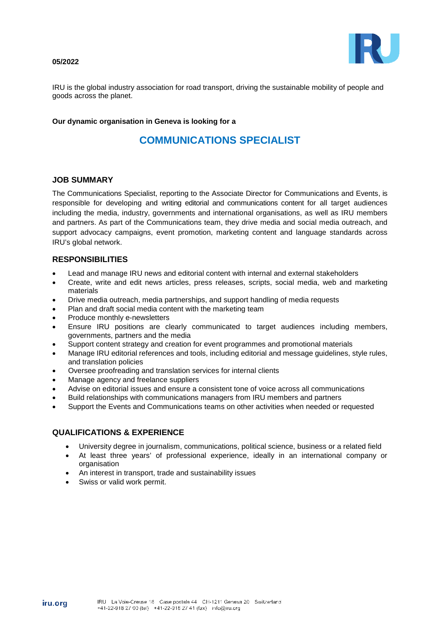#### **05/2022**



IRU is the global industry association for road transport, driving the sustainable mobility of people and goods across the planet.

#### **Our dynamic organisation in Geneva is looking for a**

# **COMMUNICATIONS SPECIALIST**

### **JOB SUMMARY**

The Communications Specialist, reporting to the Associate Director for Communications and Events, is responsible for developing and writing editorial and communications content for all target audiences including the media, industry, governments and international organisations, as well as IRU members and partners. As part of the Communications team, they drive media and social media outreach, and support advocacy campaigns, event promotion, marketing content and language standards across IRU's global network.

## **RESPONSIBILITIES**

- Lead and manage IRU news and editorial content with internal and external stakeholders
- Create, write and edit news articles, press releases, scripts, social media, web and marketing materials
- Drive media outreach, media partnerships, and support handling of media requests
- Plan and draft social media content with the marketing team
- Produce monthly e-newsletters
- Ensure IRU positions are clearly communicated to target audiences including members, governments, partners and the media
- Support content strategy and creation for event programmes and promotional materials
- Manage IRU editorial references and tools, including editorial and message guidelines, style rules, and translation policies
- Oversee proofreading and translation services for internal clients
- Manage agency and freelance suppliers
- Advise on editorial issues and ensure a consistent tone of voice across all communications
- Build relationships with communications managers from IRU members and partners
- Support the Events and Communications teams on other activities when needed or requested

### **QUALIFICATIONS & EXPERIENCE**

- University degree in journalism, communications, political science, business or a related field
- At least three years' of professional experience, ideally in an international company or organisation
- An interest in transport, trade and sustainability issues
- Swiss or valid work permit.